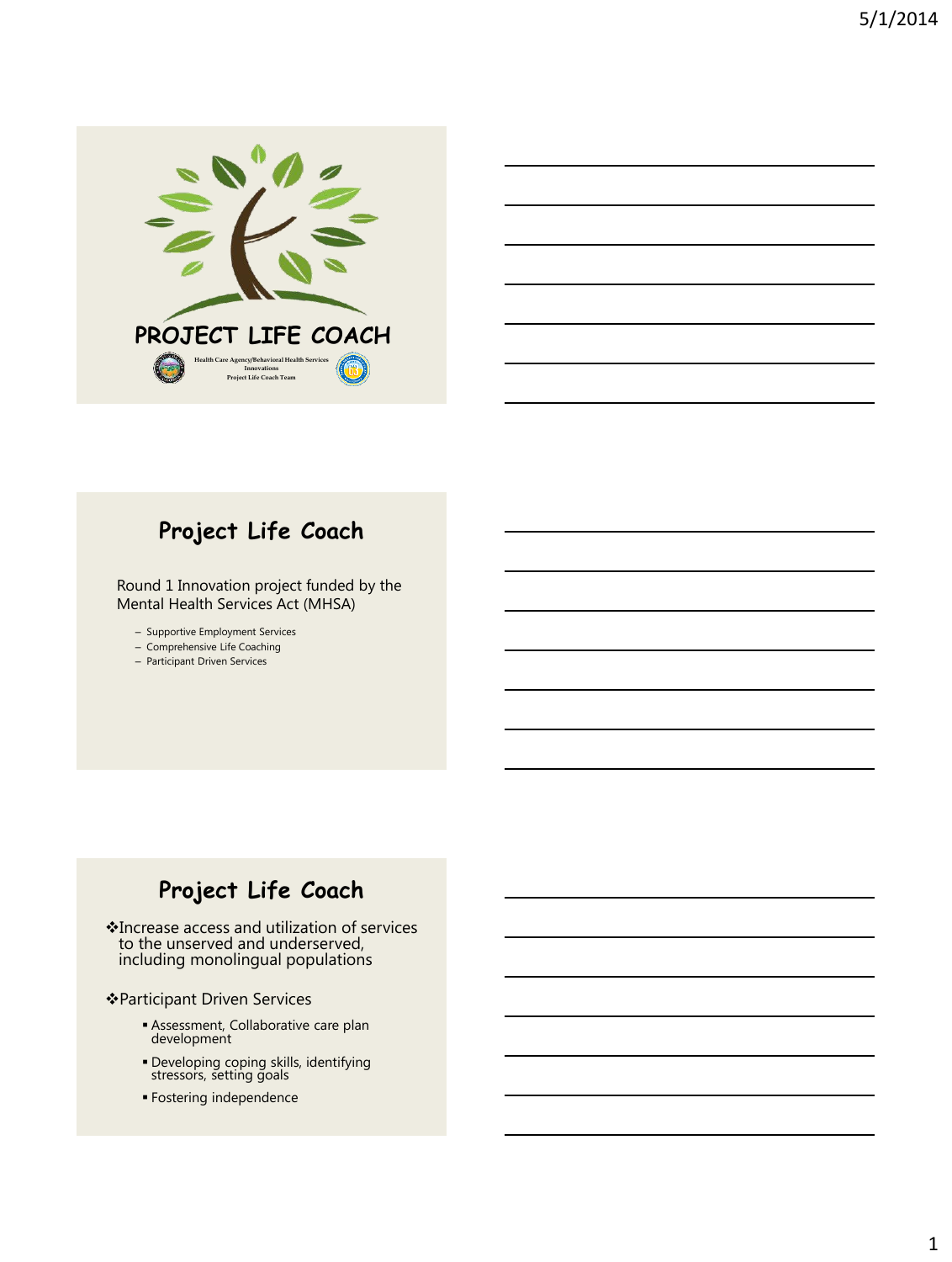

#### **Project Life Coach**

Round 1 Innovation project funded by the Mental Health Services Act (MHSA)

– Supportive Employment Services

- Comprehensive Life Coaching
- Participant Driven Services

#### **Project Life Coach**

Increase access and utilization of services to the unserved and underserved, including monolingual populations

#### Participant Driven Services

- Assessment, Collaborative care plan development
- Developing coping skills, identifying stressors, setting goals
- Fostering independence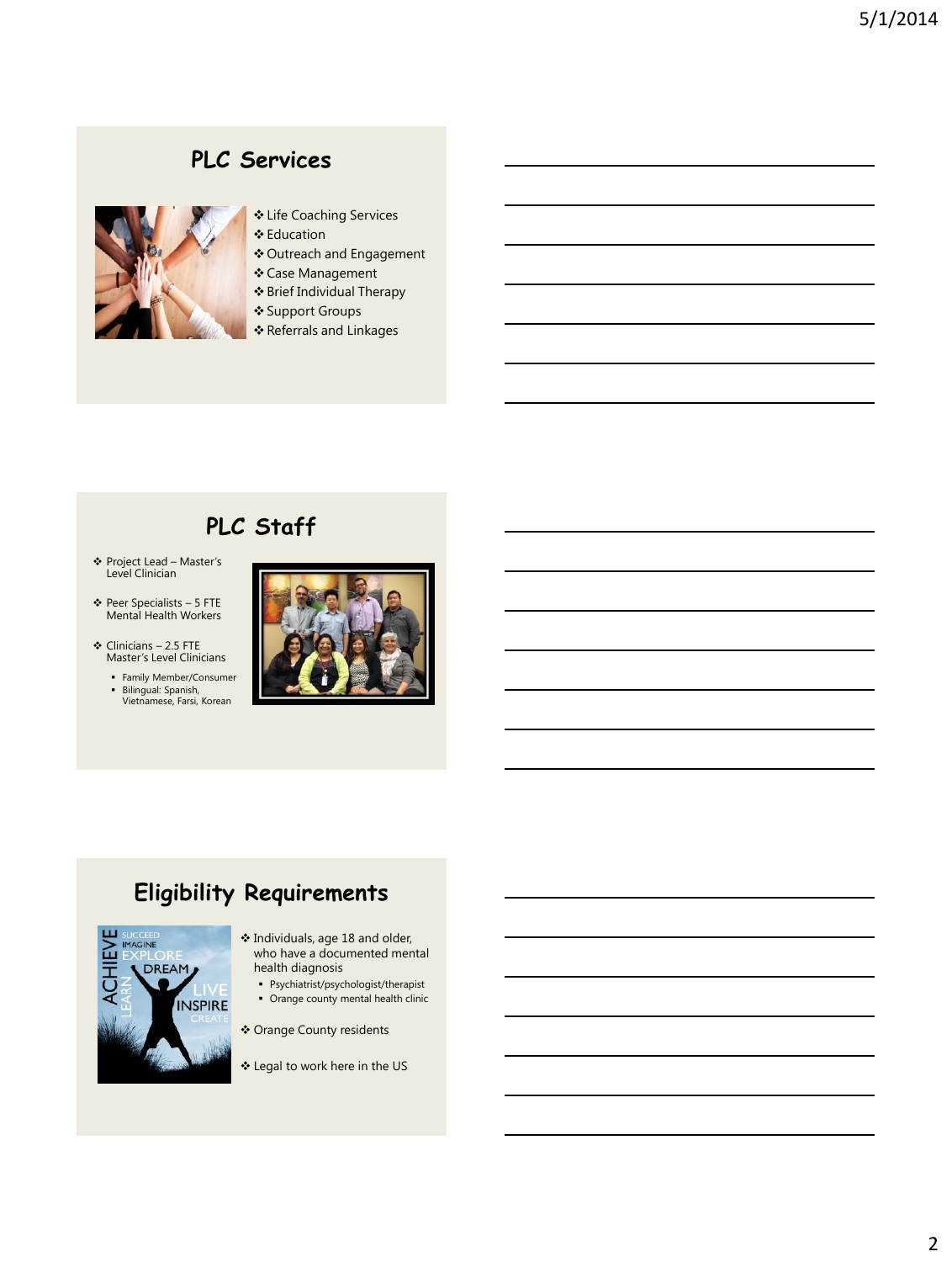#### **PLC Services**



- Life Coaching Services
- **❖** Education
- Outreach and Engagement
- Case Management
- Brief Individual Therapy
- Support Groups
- Referrals and Linkages

## **PLC Staff**

- Project Lead Master's Level Clinician
- Peer Specialists 5 FTE Mental Health Workers
- $\div$  Clinicians 2.5 FTE Master's Level Clinicians

Family Member/Consumer Bilingual: Spanish, Vietnamese, Farsi, Korean



#### **Eligibility Requirements**



- Individuals, age 18 and older, who have a documented mental health diagnosis
	- Psychiatrist/psychologist/therapist
	- Orange county mental health clinic
- Orange County residents
- Legal to work here in the US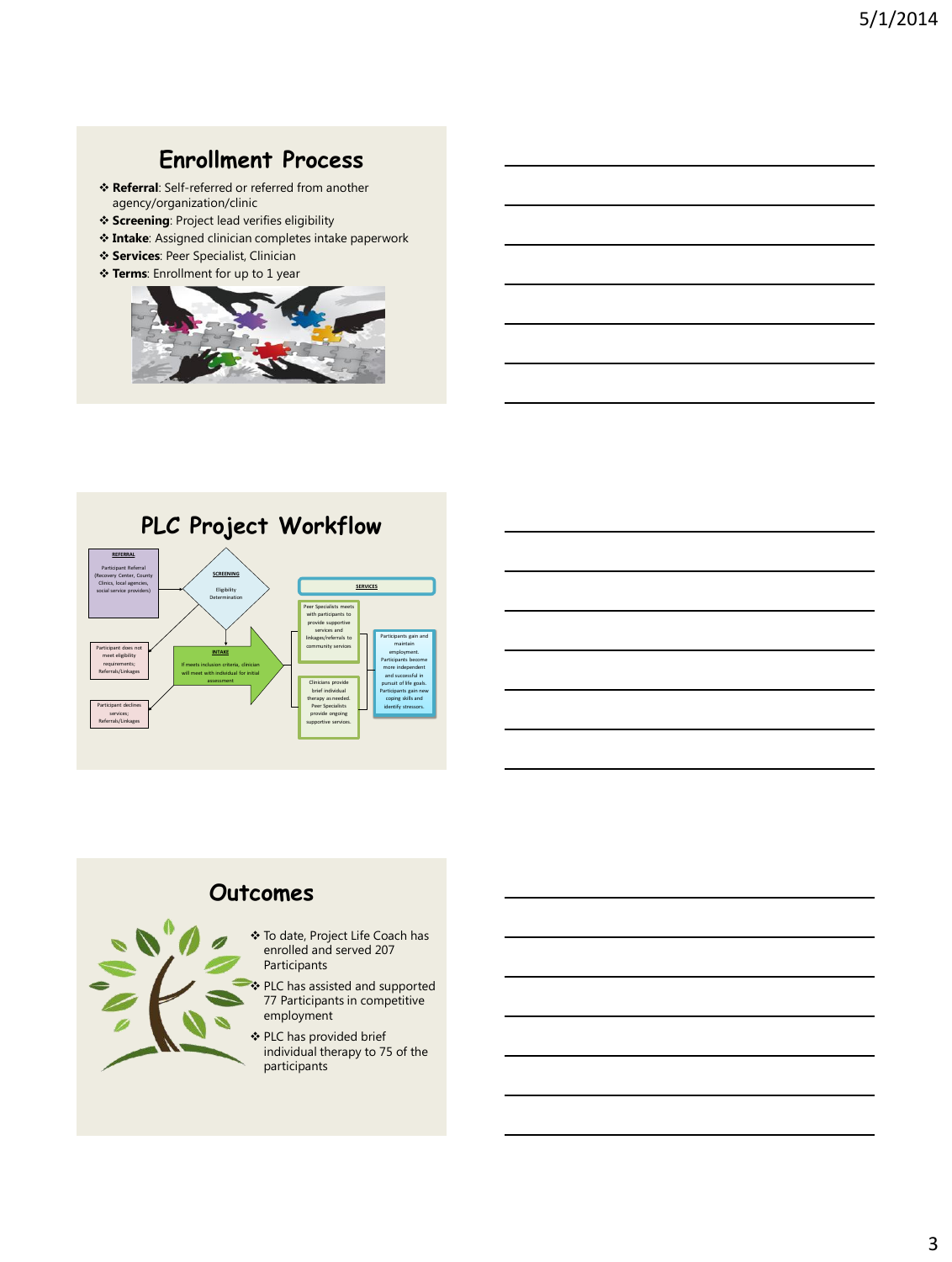#### **Enrollment Process**

- **Referral**: Self-referred or referred from another agency/organization/clinic
- **Screening**: Project lead verifies eligibility
- **Intake**: Assigned clinician completes intake paperwork
- **Services**: Peer Specialist, Clinician
- **Terms**: Enrollment for up to 1 year









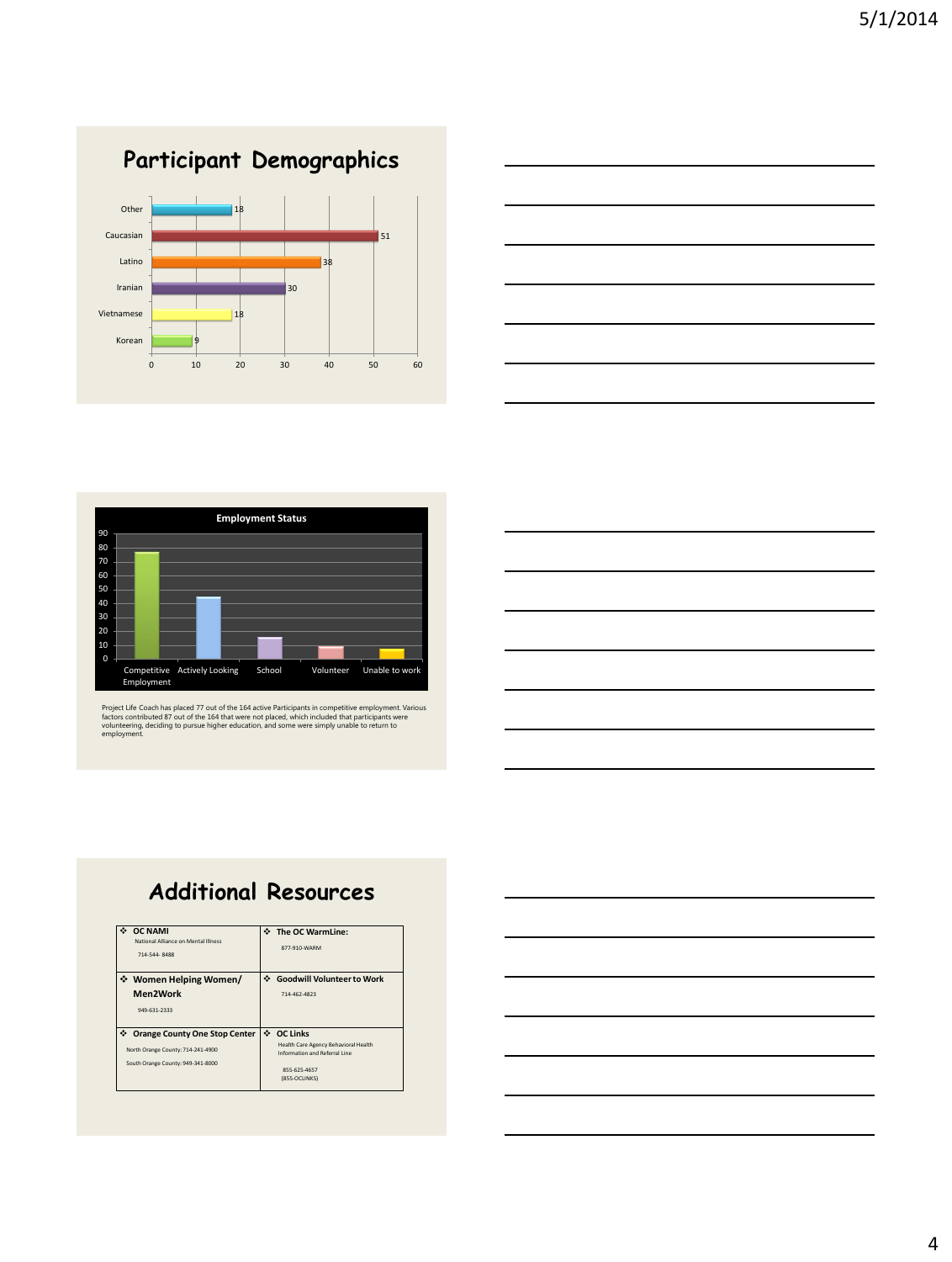





Project Life Coach has placed 77 out of the 164 active Participants in competitive employment. Various<br>factors contributed 87 out of the 164 that were not placed, which included that participants were<br>volunteering, decidin

### **Additional Resources**

| <b>OC NAMI</b><br>National Alliance on Mental Illness<br>714-544-8488                                               | The OC WarmLine:<br>877-910-WARM                                                                                     |
|---------------------------------------------------------------------------------------------------------------------|----------------------------------------------------------------------------------------------------------------------|
| ❖ Women Helping Women/<br>Men2Work<br>949-631-2333                                                                  | Goodwill Volunteer to Work<br>714-462-4823                                                                           |
| ٠<br><b>Orange County One Stop Center</b><br>North Orange County: 714-241-4900<br>South Orange County: 949-341-8000 | ↔ OC Links<br>Health Care Agency Behavioral Health<br>Information and Referral Line<br>855-625-4657<br>(855-OCLINKS) |